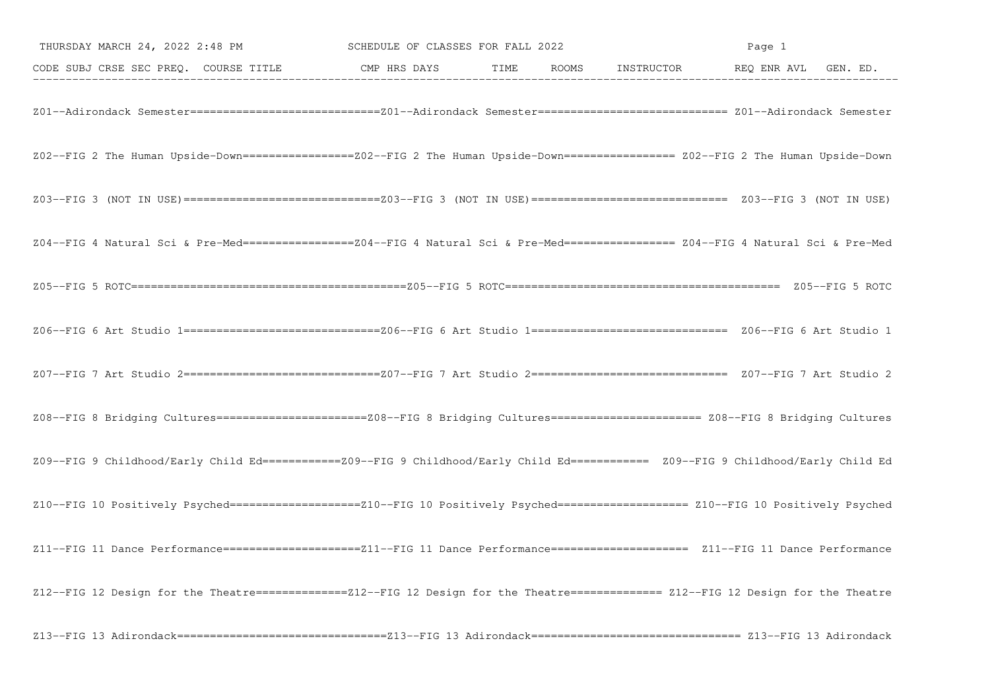| THURSDAY MARCH 24, 2022 2:48 PM SCHEDULE OF CLASSES FOR FALL 2022                                                                    |  | Page 1 |  |  |  |
|--------------------------------------------------------------------------------------------------------------------------------------|--|--------|--|--|--|
| CODE SUBJ CRSE SEC PREQ. COURSE TITLE TIME CMP HRS DAYS TIME ROOMS INSTRUCTOR THEQ ENR AVL GEN. ED.                                  |  |        |  |  |  |
|                                                                                                                                      |  |        |  |  |  |
| Z02--FIG 2 The Human Upside-Down==================Z02--FIG 2 The Human Upside-Down================= Z02--FIG 2 The Human Upside-Down |  |        |  |  |  |
|                                                                                                                                      |  |        |  |  |  |
| Z04--FIG 4 Natural Sci & Pre-Med=================Z04--FIG 4 Natural Sci & Pre-Med================= Z04--FIG 4 Natural Sci & Pre-Med  |  |        |  |  |  |
|                                                                                                                                      |  |        |  |  |  |
|                                                                                                                                      |  |        |  |  |  |
|                                                                                                                                      |  |        |  |  |  |
|                                                                                                                                      |  |        |  |  |  |
| Z09--FIG 9 Childhood/Early Child Ed===========Z09--FIG 9 Childhood/Early Child Ed=========== Z09--FIG 9 Childhood/Early Child Ed     |  |        |  |  |  |
| Z10--FIG 10 Positively Psyched====================Z10--FIG 10 Positively Psyched=================== Z10--FIG 10 Positively Psyched   |  |        |  |  |  |
| Z11--FIG 11 Dance Performance======================Z11--FIG 11 Dance Performance==================== Z11--FIG 11 Dance Performance   |  |        |  |  |  |
| Z12--FIG 12 Design for the Theatre==============212--FIG 12 Design for the Theatre============== Z12--FIG 12 Design for the Theatre  |  |        |  |  |  |
|                                                                                                                                      |  |        |  |  |  |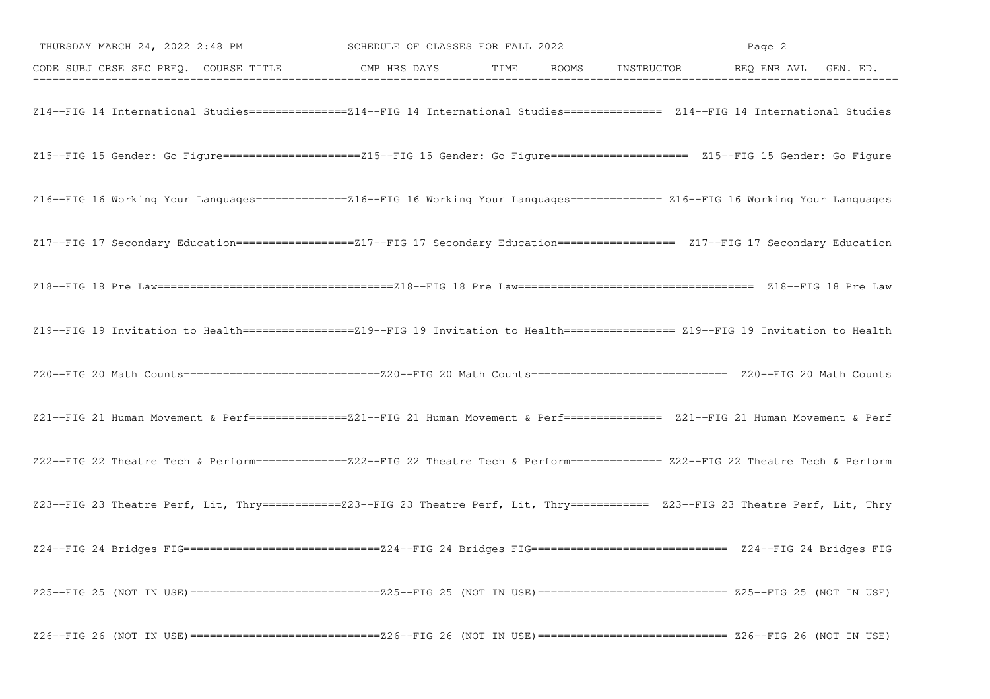|                                                                                                                                       | THURSDAY MARCH 24, 2022 2:48 PM SCHEDULE OF CLASSES FOR FALL 2022 |  | Page 2 |  |  |  |
|---------------------------------------------------------------------------------------------------------------------------------------|-------------------------------------------------------------------|--|--------|--|--|--|
| CODE SUBJ CRSE SEC PREQ. COURSE TITLE CMP HRS DAYS TIME ROOMS INSTRUCTOR REQ ENR AVL GEN. ED.                                         |                                                                   |  |        |  |  |  |
| Z14--FIG 14 International Studies===============214--FIG 14 International Studies============== Z14--FIG 14 International Studies     |                                                                   |  |        |  |  |  |
| Z15--FIG 15 Gender: Go Figure======================Z15--FIG 15 Gender: Go Figure===================== Z15--FIG 15 Gender: Go Figure   |                                                                   |  |        |  |  |  |
| Z16--FIG 16 Working Your Languages==============216--FIG 16 Working Your Languages============= Z16--FIG 16 Working Your Languages    |                                                                   |  |        |  |  |  |
| Z17--FIG 17 Secondary Education=================Z17--FIG 17 Secondary Education================== Z17--FIG 17 Secondary Education     |                                                                   |  |        |  |  |  |
|                                                                                                                                       |                                                                   |  |        |  |  |  |
| Z19--FIG 19 Invitation to Health =================219--FIG 19 Invitation to Health ================= Z19--FIG 19 Invitation to Health |                                                                   |  |        |  |  |  |
|                                                                                                                                       |                                                                   |  |        |  |  |  |
| Z21--FIG 21 Human Movement & Perf===============221--FIG 21 Human Movement & Perf============== Z21--FIG 21 Human Movement & Perf     |                                                                   |  |        |  |  |  |
| Z22--FIG 22 Theatre Tech & Perform===============Z22--FIG 22 Theatre Tech & Perform============= Z22--FIG 22 Theatre Tech & Perform   |                                                                   |  |        |  |  |  |
| Z23--FIG 23 Theatre Perf, Lit, Thry ===========Z23--FIG 23 Theatre Perf, Lit, Thry =========== Z23--FIG 23 Theatre Perf, Lit, Thry    |                                                                   |  |        |  |  |  |
|                                                                                                                                       |                                                                   |  |        |  |  |  |
|                                                                                                                                       |                                                                   |  |        |  |  |  |
|                                                                                                                                       |                                                                   |  |        |  |  |  |